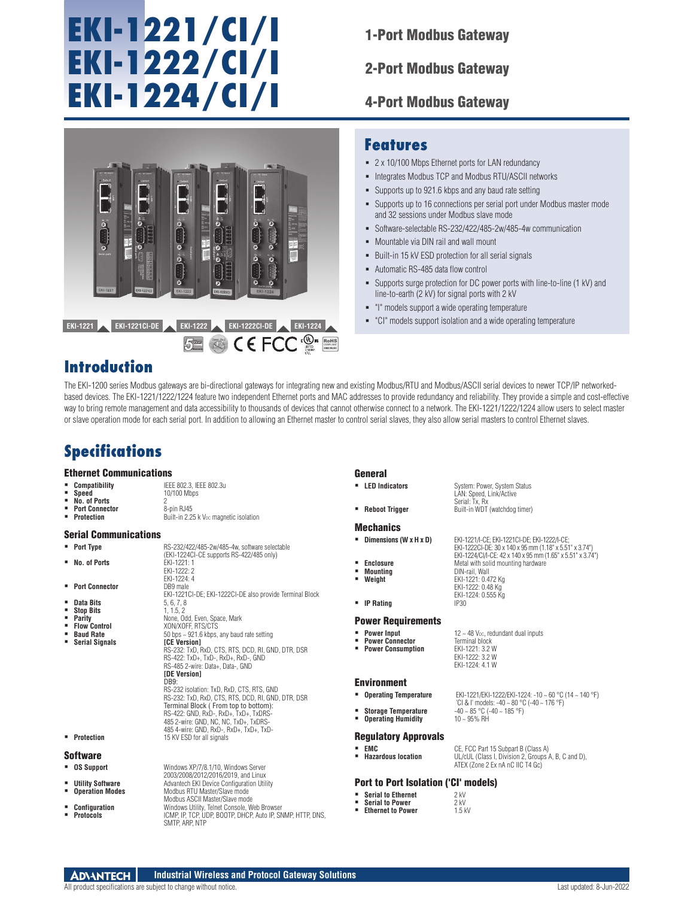# **EKI-1221/CI/I EKI-1222/CI/I EKI-1224/CI/I**

1-Port Modbus Gateway

2-Port Modbus Gateway

4-Port Modbus Gateway



### **Features**

- 2 x 10/100 Mbps Ethernet ports for LAN redundancy
- $\blacksquare$  Integrates Modbus TCP and Modbus RTU/ASCII networks
- Supports up to 921.6 kbps and any baud rate setting
- Supports up to 16 connections per serial port under Modbus master mode and 32 sessions under Modbus slave mode
- Software-selectable RS-232/422/485-2w/485-4w communication
- Mountable via DIN rail and wall mount
- Built-in 15 kV ESD protection for all serial signals
- Automatic RS-485 data flow control
- Supports surge protection for DC power ports with line-to-line (1 kV) and line-to-earth (2 kV) for signal ports with 2 kV

LAN: Speed, Link/Active Serial: Tx, Rx

**Weight** EKI-1221: 0.472 Kg

- "I" models support a wide operating temperature
- "CI" models support isolation and a wide operating temperature

## **Introduction**

The EKI-1200 series Modbus gateways are bi-directional gateways for integrating new and existing Modbus/RTU and Modbus/ASCII serial devices to newer TCP/IP networkedbased devices. The EKI-1221/1222/1224 feature two independent Ethernet ports and MAC addresses to provide redundancy and reliability. They provide a simple and cost-effective way to bring remote management and data accessibility to thousands of devices that cannot otherwise connect to a network. The EKI-1221/1222/1224 allow users to select master or slave operation mode for each serial port. In addition to allowing an Ethernet master to control serial slaves, they also allow serial masters to control Ethernet slaves.

## **Specifications**

## **Ethernet Communications**<br>• Compatibility

- **Compatibility** IEEE 802.3, IEEE 802.3u<br>**Speed** 10/100 Mbps **Speed** 10/100 Mbps
	- **No. of Ports** 2
	- **Port Connector**<br>Protection
- Built-in 2.25 k V<sub>DC</sub> magnetic isolation

#### Serial Communications

- 
- **No. of Ports** EKI-1221: 1
- **Port Connector**
- 
- 
- **Stop Bits<br>• Parity<br>• Flow Control**
- 
- 
- **Port Type** RS-232/422/485-2w/485-4w, software selectable<br>
(EKI-1224CI-CE supports RS-422/485 only) EKI-1222: 2 EKI-1224: 4<br>DB9 male
- EKI-1221CI-DE; EKI-1222CI-DE also provide Terminal Block **Data Bits** 5, 6, 7, 8<br>**Stop Bits** 1, 1.5, 2 **Parity** None, Odd, Even, Space, Mark **Flow Control** XON/XOFF, RTS/CTS **Baud Rate**<br> **Baud Rate**<br> **Baud Rate**<br> **CE Version]**<br> **CE Version Serial Signals [CE Version]** RS-232: TxD, RxD, CTS, RTS, DCD, RI, GND, DTR, DSR RS-422: TxD+, TxD-, RxD+, RxD-, GND RS-485 2-wire: Data+, Data-, GND **[DE Version]** DB9: RS-232 isolation: TxD, RxD, CTS, RTS, GND RS-232: TxD, RxD, CTS, RTS, DCD, RI, GND, DTR, DSR Terminal Block ( From top to bottom): RS-422: GND, RxD-, RxD+, TxD+, TxDRS-485 2-wire: GND, NC, NC, TxD+, TxDRS-

485 4-wire: GND, RxD-, RxD+, TxD+, TxD-

2003/2008/2012/2016/2019, and Linux

 **Operation Modes** Modbus RTU Master/Slave mode Modbus ASCII Master/Slave mode

SMTP, ARP, NTP

**Protection** 15 KV ESD for all signals

#### Software

- **OS Support** Windows XP/7/8.1/10, Windows Server
- **Utility Software Advantech EKI Device Configuration Utility**<br> **Configuration Modes** Modbus RTLI Master/Slave mode
- 
- **Configuration** Windows Utility, Telnet Console, Web Browser **Protocols** ICMP, IP, TCP, UDP, BOOTP, DHCP, Auto IP, SNMP, HTTP, DNS,

General

- **LED Indicators** System: Power, System Status
- **Reboot Trigger** Built-in WDT (watchdog timer)
- **Mechanics**
- **Dimensions (W x H x D)** EKI-1221/I-CE; EKI-1221CI-DE; EKI-1222/I-CE;
- 
- **Enclosure** Metal with solid mounting hardware<br>
Mounting **Mounting Mounting Mounting** DIN-rail, Wall<br>**Weight Weight** FKI-1221: 0.47
- 
- **IP** Rating

#### Power Requirements

- 
- **Power Consumption**

12 ~ 48 V<sub>DC</sub>, redundant dual inputs<br>Terminal block EKI-1222: 3.2 W EKI-1224: 4.1 W

 $\frac{1}{10}$  CI & I' models: -40 ~ 80 °C (-40 ~ 176 °F)<br>-40 ~ 85 °C (-40 ~ 185 °F)

EKI-1222CI-DE: 30 x 140 x 95 mm (1.18" x 5.51" x 3.74") EKI-1224/CI/I-CE: 42 x 140 x 95 mm (1.65" x 5.51" x 3.74")

#### Environment

- 
- 
- **Operating Humidity**

#### Regulatory Approvals

**EMC CE, FCC Part 15 Subpart B (Class A)**<br>**Hazardous location EXEC CLASS A** Division 2 Groups A **Hazardous location** UL/cUL (Class I, Division 2, Groups A, B, C and D), ATEX (Zone 2 Ex nA nC IIC T4 Gc)

#### Port to Port Isolation ('CI' models)

- **Serial to Ethernet** 2 kV<br>**Serial to Power** 2 kV
- **Serial to Power** 2 kV<br> **Ethernet to Power** 1.5 kV **Ethernet to Power**
- 

**Industrial Wireless and Protocol Gateway Solutions ADVANTECH** 

EKI-1222: 0.48 Kg EKI-1224: 0.555 Kg **Power Input** 12 ~ 48 V<sub>pc, rediction **Power Connector**<br>**Power Connector** Terminal block<br>**Power Consumption** EKI-1221: 3.2 W</sub>

- **Operating Temperature** EKI-1221/EKI-1222/EKI-1224: -10 ~ 60 °C (14 ~ 140 °F)
- **Storage Temperature**  $-40 \approx 85 \degree \text{C}$  (-40  $-40 \approx 85 \degree \text{C}$  )<br>The **Operating Humidity** to a 40  $\sim$  95% RH
-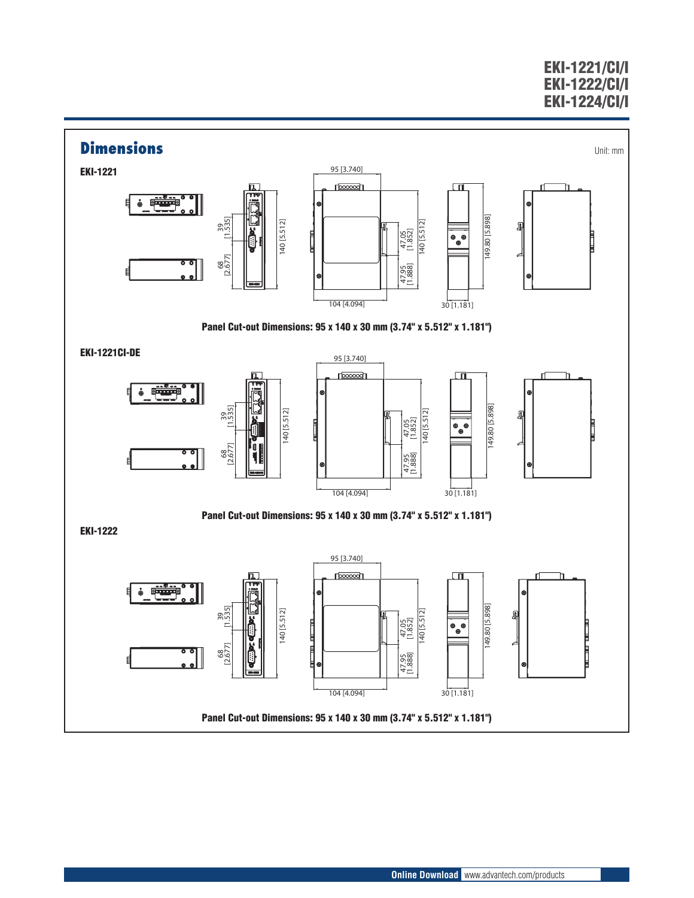## EKI-1221/CI/I EKI-1222/CI/I EKI-1224/CI/I